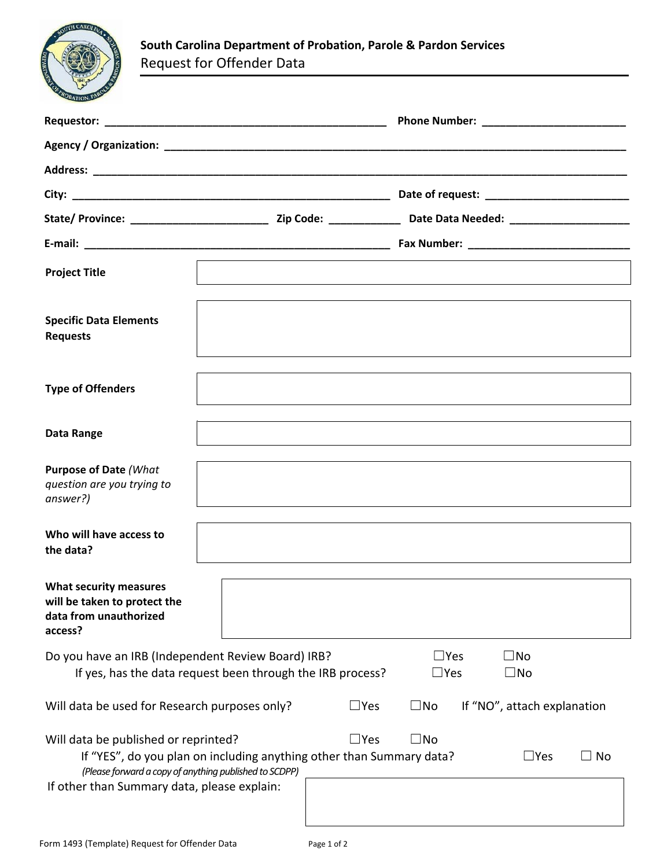

| <b>Project Title</b>                                                                                                                          |                                                                      |            |                          |                              |           |
|-----------------------------------------------------------------------------------------------------------------------------------------------|----------------------------------------------------------------------|------------|--------------------------|------------------------------|-----------|
| <b>Specific Data Elements</b><br><b>Requests</b>                                                                                              |                                                                      |            |                          |                              |           |
| <b>Type of Offenders</b>                                                                                                                      |                                                                      |            |                          |                              |           |
| Data Range                                                                                                                                    |                                                                      |            |                          |                              |           |
| <b>Purpose of Date (What</b><br>question are you trying to<br>answer?)                                                                        |                                                                      |            |                          |                              |           |
| Who will have access to<br>the data?                                                                                                          |                                                                      |            |                          |                              |           |
| <b>What security measures</b><br>will be taken to protect the<br>data from unauthorized<br>access?                                            |                                                                      |            |                          |                              |           |
| Do you have an IRB (Independent Review Board) IRB?<br>If yes, has the data request been through the IRB process?                              |                                                                      |            | $\Box$ Yes<br>$\Box$ Yes | $\square$ No<br>$\square$ No |           |
| Will data be used for Research purposes only?                                                                                                 |                                                                      | $\Box$ Yes | $\square$ No             | If "NO", attach explanation  |           |
| Will data be published or reprinted?<br>(Please forward a copy of anything published to SCDPP)<br>If other than Summary data, please explain: | If "YES", do you plan on including anything other than Summary data? | $\Box$ Yes | $\square$ No             | $\square$ Yes                | $\Box$ No |